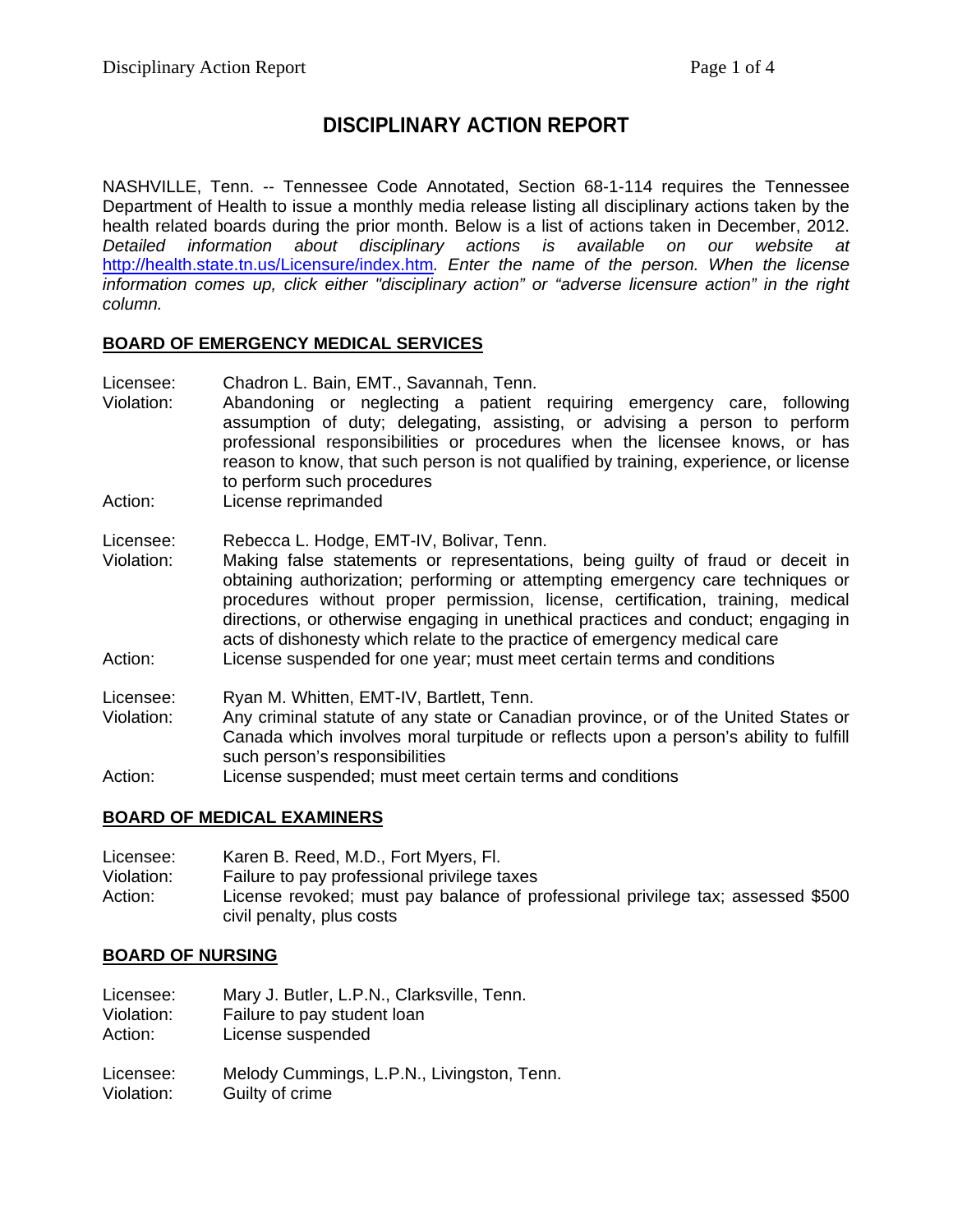# **DISCIPLINARY ACTION REPORT**

NASHVILLE, Tenn. -- Tennessee Code Annotated, Section 68-1-114 requires the Tennessee Department of Health to issue a monthly media release listing all disciplinary actions taken by the health related boards during the prior month. Below is a list of actions taken in December, 2012. *Detailed information about disciplinary actions is available on our website at*  <http://health.state.tn.us/Licensure/index.htm>*. Enter the name of the person. When the license information comes up, click either "disciplinary action" or "adverse licensure action" in the right column.*

## **BOARD OF EMERGENCY MEDICAL SERVICES**

- Licensee: Chadron L. Bain, EMT., Savannah, Tenn.<br>Violation: Abandoning or neglecting a patient
- Abandoning or neglecting a patient requiring emergency care, following assumption of duty; delegating, assisting, or advising a person to perform professional responsibilities or procedures when the licensee knows, or has reason to know, that such person is not qualified by training, experience, or license to perform such procedures
- Action: License reprimanded

## Licensee: Rebecca L. Hodge, EMT-IV, Bolivar, Tenn.

- Violation: Making false statements or representations, being guilty of fraud or deceit in obtaining authorization; performing or attempting emergency care techniques or procedures without proper permission, license, certification, training, medical directions, or otherwise engaging in unethical practices and conduct; engaging in acts of dishonesty which relate to the practice of emergency medical care Action: License suspended for one year; must meet certain terms and conditions
- Licensee: Ryan M. Whitten, EMT-IV, Bartlett, Tenn. Violation: Any criminal statute of any state or Canadian province, or of the United States or Canada which involves moral turpitude or reflects upon a person's ability to fulfill such person's responsibilities
- Action: License suspended; must meet certain terms and conditions

## **BOARD OF MEDICAL EXAMINERS**

Licensee: Karen B. Reed, M.D., Fort Myers, Fl. Violation: Failure to pay professional privilege taxes Action: License revoked; must pay balance of professional privilege tax; assessed \$500 civil penalty, plus costs

## **BOARD OF NURSING**

Licensee: Mary J. Butler, L.P.N., Clarksville, Tenn. Violation: Failure to pay student loan Action: License suspended

Licensee: Melody Cummings, L.P.N., Livingston, Tenn. Violation: Guilty of crime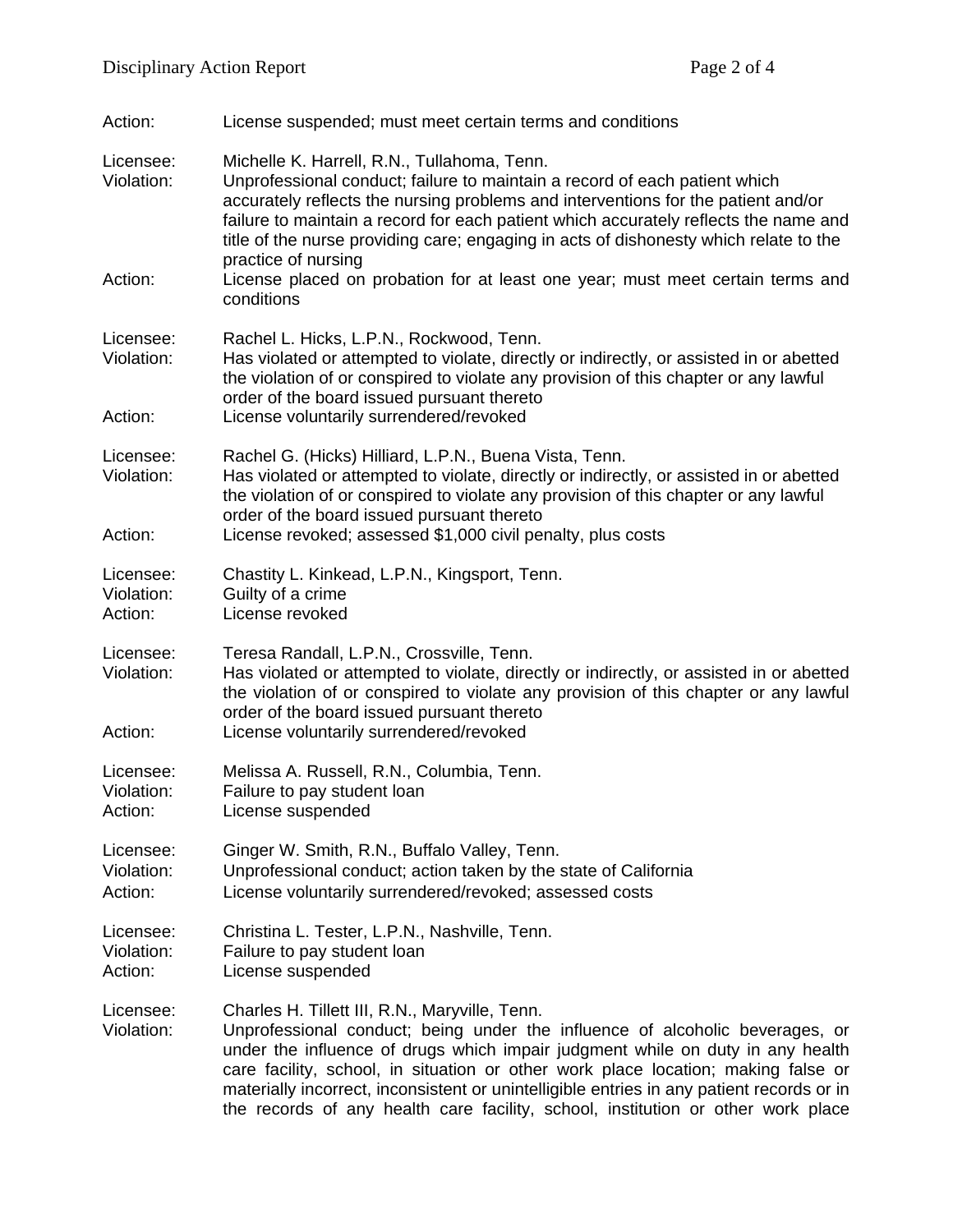| Action:                            | License suspended; must meet certain terms and conditions                                                                                                                                                                                                                                                                                                                                                                                                                                                              |
|------------------------------------|------------------------------------------------------------------------------------------------------------------------------------------------------------------------------------------------------------------------------------------------------------------------------------------------------------------------------------------------------------------------------------------------------------------------------------------------------------------------------------------------------------------------|
| Licensee:<br>Violation:<br>Action: | Michelle K. Harrell, R.N., Tullahoma, Tenn.<br>Unprofessional conduct; failure to maintain a record of each patient which<br>accurately reflects the nursing problems and interventions for the patient and/or<br>failure to maintain a record for each patient which accurately reflects the name and<br>title of the nurse providing care; engaging in acts of dishonesty which relate to the<br>practice of nursing<br>License placed on probation for at least one year; must meet certain terms and<br>conditions |
|                                    |                                                                                                                                                                                                                                                                                                                                                                                                                                                                                                                        |
| Licensee:<br>Violation:<br>Action: | Rachel L. Hicks, L.P.N., Rockwood, Tenn.<br>Has violated or attempted to violate, directly or indirectly, or assisted in or abetted<br>the violation of or conspired to violate any provision of this chapter or any lawful<br>order of the board issued pursuant thereto<br>License voluntarily surrendered/revoked                                                                                                                                                                                                   |
|                                    |                                                                                                                                                                                                                                                                                                                                                                                                                                                                                                                        |
| Licensee:<br>Violation:<br>Action: | Rachel G. (Hicks) Hilliard, L.P.N., Buena Vista, Tenn.<br>Has violated or attempted to violate, directly or indirectly, or assisted in or abetted<br>the violation of or conspired to violate any provision of this chapter or any lawful<br>order of the board issued pursuant thereto<br>License revoked; assessed \$1,000 civil penalty, plus costs                                                                                                                                                                 |
|                                    |                                                                                                                                                                                                                                                                                                                                                                                                                                                                                                                        |
| Licensee:<br>Violation:<br>Action: | Chastity L. Kinkead, L.P.N., Kingsport, Tenn.<br>Guilty of a crime<br>License revoked                                                                                                                                                                                                                                                                                                                                                                                                                                  |
| Licensee:<br>Violation:<br>Action: | Teresa Randall, L.P.N., Crossville, Tenn.<br>Has violated or attempted to violate, directly or indirectly, or assisted in or abetted<br>the violation of or conspired to violate any provision of this chapter or any lawful<br>order of the board issued pursuant thereto<br>License voluntarily surrendered/revoked                                                                                                                                                                                                  |
| Licensee:                          | Melissa A. Russell, R.N., Columbia, Tenn.                                                                                                                                                                                                                                                                                                                                                                                                                                                                              |
| Violation:<br>Action:              | Failure to pay student loan<br>License suspended                                                                                                                                                                                                                                                                                                                                                                                                                                                                       |
| Licensee:<br>Violation:<br>Action: | Ginger W. Smith, R.N., Buffalo Valley, Tenn.<br>Unprofessional conduct; action taken by the state of California<br>License voluntarily surrendered/revoked; assessed costs                                                                                                                                                                                                                                                                                                                                             |
| Licensee:<br>Violation:<br>Action: | Christina L. Tester, L.P.N., Nashville, Tenn.<br>Failure to pay student loan<br>License suspended                                                                                                                                                                                                                                                                                                                                                                                                                      |
| Licensee:<br>Violation:            | Charles H. Tillett III, R.N., Maryville, Tenn.<br>Unprofessional conduct; being under the influence of alcoholic beverages, or<br>under the influence of drugs which impair judgment while on duty in any health<br>care facility, school, in situation or other work place location; making false or<br>materially incorrect, inconsistent or unintelligible entries in any patient records or in<br>the records of any health care facility, school, institution or other work place                                 |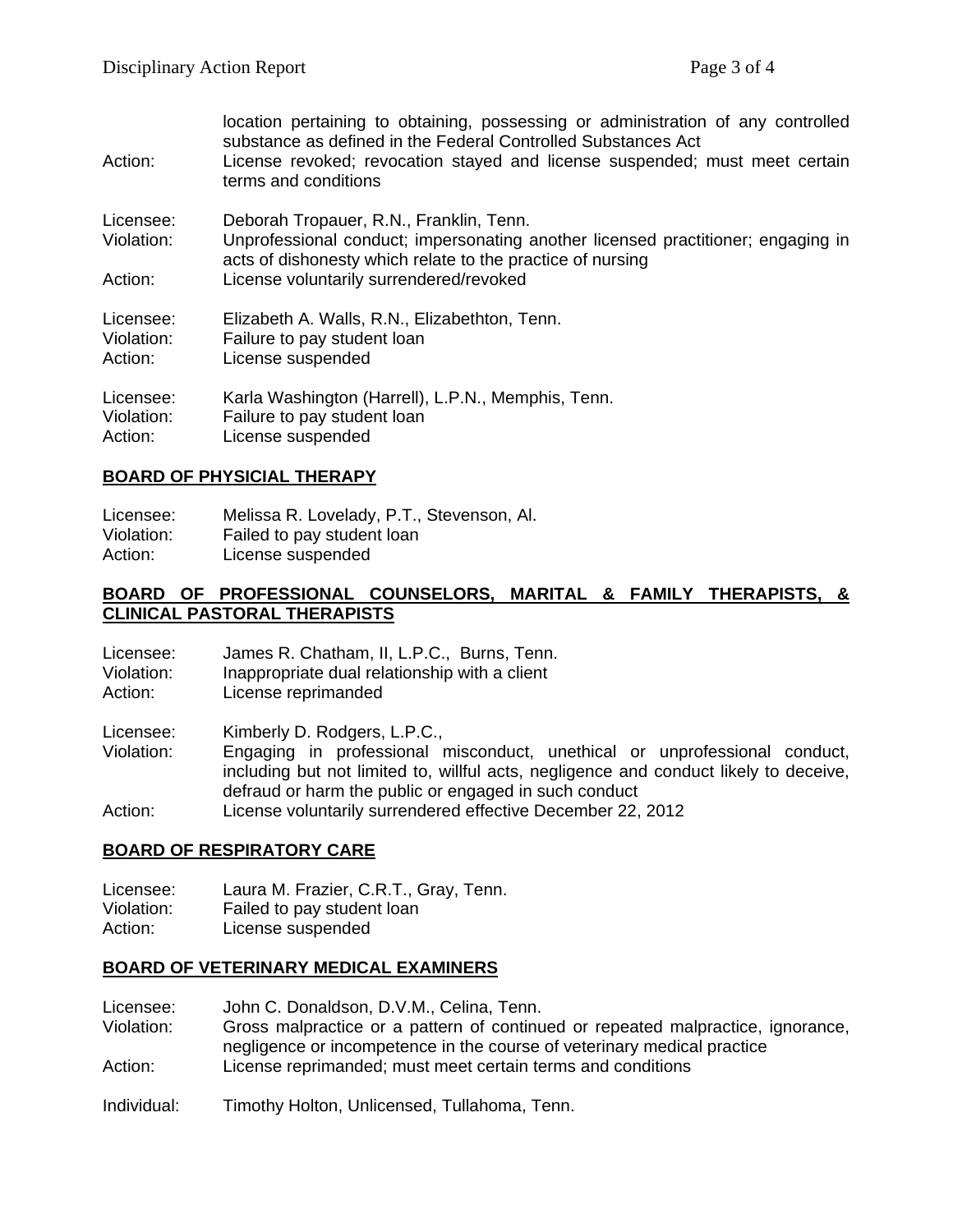| Action:                            | location pertaining to obtaining, possessing or administration of any controlled<br>substance as defined in the Federal Controlled Substances Act<br>License revoked; revocation stayed and license suspended; must meet certain<br>terms and conditions |
|------------------------------------|----------------------------------------------------------------------------------------------------------------------------------------------------------------------------------------------------------------------------------------------------------|
| Licensee:<br>Violation:            | Deborah Tropauer, R.N., Franklin, Tenn.<br>Unprofessional conduct; impersonating another licensed practitioner; engaging in<br>acts of dishonesty which relate to the practice of nursing                                                                |
| Action:                            | License voluntarily surrendered/revoked                                                                                                                                                                                                                  |
| Licensee:<br>Violation:<br>Action: | Elizabeth A. Walls, R.N., Elizabethton, Tenn.<br>Failure to pay student loan<br>License suspended                                                                                                                                                        |
| Licensee:<br>Violation:<br>Action: | Karla Washington (Harrell), L.P.N., Memphis, Tenn.<br>Failure to pay student loan<br>License suspended                                                                                                                                                   |

## **BOARD OF PHYSICIAL THERAPY**

Licensee: Melissa R. Lovelady, P.T., Stevenson, Al. Violation: Failed to pay student loan Action: License suspended

## **BOARD OF PROFESSIONAL COUNSELORS, MARITAL & FAMILY THERAPISTS, & CLINICAL PASTORAL THERAPISTS**

| Licensee:  | James R. Chatham, II, L.P.C., Burns, Tenn.    |
|------------|-----------------------------------------------|
| Violation: | Inappropriate dual relationship with a client |
| Action:    | License reprimanded                           |

Licensee: Kimberly D. Rodgers, L.P.C., Violation: Engaging in professional misconduct, unethical or unprofessional conduct, including but not limited to, willful acts, negligence and conduct likely to deceive, defraud or harm the public or engaged in such conduct Action: License voluntarily surrendered effective December 22, 2012

## **BOARD OF RESPIRATORY CARE**

Licensee: Laura M. Frazier, C.R.T., Gray, Tenn. Violation: Failed to pay student loan Action: License suspended

## **BOARD OF VETERINARY MEDICAL EXAMINERS**

Licensee: John C. Donaldson, D.V.M., Celina, Tenn.<br>Violation: Gross malpractice or a pattern of continu Gross malpractice or a pattern of continued or repeated malpractice, ignorance, negligence or incompetence in the course of veterinary medical practice Action: License reprimanded; must meet certain terms and conditions

Individual: Timothy Holton, Unlicensed, Tullahoma, Tenn.